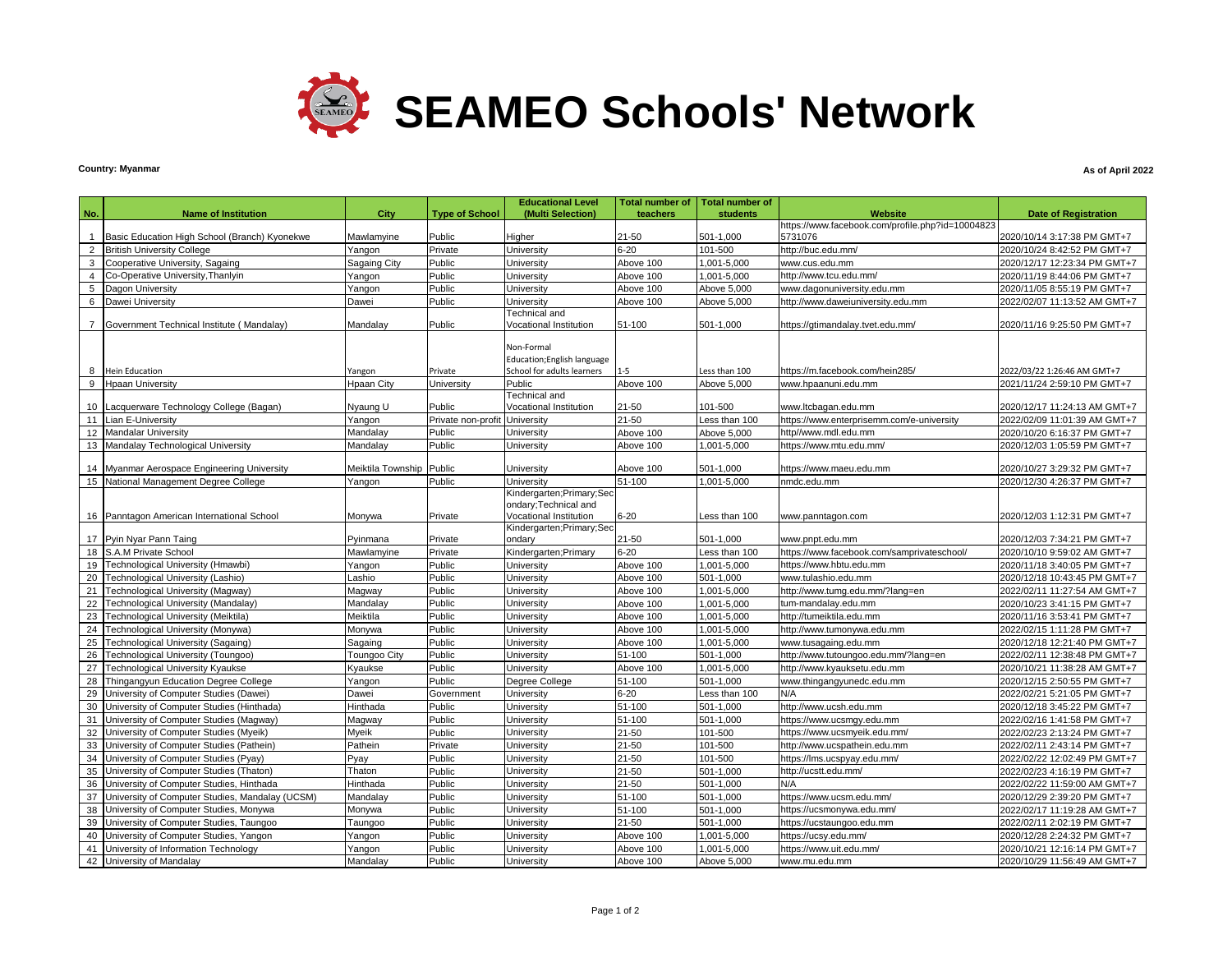

## **Country: Myanmar**

## **As of April 2022**

|                |                                                 |                     |                       | <b>Educational Level</b>                        | <b>Total number of</b> | <b>Total number of</b> |                                                  |                              |
|----------------|-------------------------------------------------|---------------------|-----------------------|-------------------------------------------------|------------------------|------------------------|--------------------------------------------------|------------------------------|
| No.            | <b>Name of Institution</b>                      | City                | <b>Type of School</b> | (Multi Selection)                               | teachers               | <b>students</b>        | Website                                          | <b>Date of Registration</b>  |
|                |                                                 |                     |                       |                                                 |                        |                        | https://www.facebook.com/profile.php?id=10004823 |                              |
| $\mathbf{1}$   | Basic Education High School (Branch) Kyonekwe   | Mawlamyine          | Public                | Higher                                          | $21 - 50$              | 501-1,000              | 5731076                                          | 2020/10/14 3:17:38 PM GMT+7  |
| $\overline{2}$ | <b>British University College</b>               | Yangon              | Private               | University                                      | $6 - 20$               | 101-500                | http://buc.edu.mm/                               | 2020/10/24 8:42:52 PM GMT+7  |
| 3              | Cooperative University, Sagaing                 | Sagaing City        | Public                | University                                      | Above 100              | 1,001-5,000            | www.cus.edu.mm                                   | 2020/12/17 12:23:34 PM GMT+7 |
| $\overline{4}$ | Co-Operative University, Thanlyin               | Yangon              | Public                | University                                      | Above 100              | 1,001-5,000            | http://www.tcu.edu.mm/                           | 2020/11/19 8:44:06 PM GMT+7  |
| 5              | Dagon University                                | Yangon              | Public                | University                                      | Above 100              | Above 5,000            | www.dagonuniversity.edu.mm                       | 2020/11/05 8:55:19 PM GMT+7  |
| 6              | Dawei University                                | Dawei               | Public                | University                                      | Above 100              | Above 5,000            | http://www.daweiuniversity.edu.mm                | 2022/02/07 11:13:52 AM GMT+7 |
|                |                                                 |                     |                       | Technical and                                   |                        |                        |                                                  |                              |
| $\overline{7}$ | Government Technical Institute (Mandalay)       | Mandalay            | Public                | Vocational Institution                          | 51-100                 | 501-1,000              | https://gtimandalay.tvet.edu.mm/                 | 2020/11/16 9:25:50 PM GMT+7  |
|                |                                                 |                     |                       | Non-Formal                                      |                        |                        |                                                  |                              |
|                |                                                 |                     |                       | Education; English language                     |                        |                        |                                                  |                              |
| 8              | <b>Hein Education</b>                           | Yangon              | Private               | School for adults learners                      | 1-5                    | Less than 100          | https://m.facebook.com/hein285/                  | 2022/03/22 1:26:46 AM GMT+7  |
| 9              | <b>Hpaan University</b>                         | <b>Hpaan City</b>   | University            | Public                                          | Above 100              | Above 5,000            | www.hpaanuni.edu.mm                              | 2021/11/24 2:59:10 PM GMT+7  |
|                |                                                 |                     |                       | Technical and                                   |                        |                        |                                                  |                              |
|                | 10 Lacquerware Technology College (Bagan)       | Nyaung U            | Public                | Vocational Institution                          | $21 - 50$              | 101-500                | www.ltcbagan.edu.mm                              | 2020/12/17 11:24:13 AM GMT+7 |
| 11             | Lian E-University                               | Yangon              | Private non-profi     | University                                      | $21 - 50$              | Less than 100          | https://www.enterprisemm.com/e-university        | 2022/02/09 11:01:39 AM GMT+7 |
| 12             | <b>Mandalar University</b>                      | Mandalay            | Public                | University                                      | Above 100              | Above 5,000            | http//www.mdl.edu.mm                             | 2020/10/20 6:16:37 PM GMT+7  |
| 13             | Mandalay Technological University               | Mandalay            | Public                | University                                      | Above 100              | 1,001-5,000            | https://www.mtu.edu.mm/                          | 2020/12/03 1:05:59 PM GMT+7  |
|                |                                                 |                     |                       |                                                 |                        |                        |                                                  |                              |
|                | 14 Myanmar Aerospace Engineering University     | Meiktila Township   | Public                | University                                      | Above 100              | 501-1,000              | https://www.maeu.edu.mm                          | 2020/10/27 3:29:32 PM GMT+7  |
|                | 15 National Management Degree College           | Yangon              | Public                | University                                      | 51-100                 | 1,001-5,000            | nmdc.edu.mm                                      | 2020/12/30 4:26:37 PM GMT+7  |
|                |                                                 |                     |                       | Kindergarten; Primary; Sec                      |                        |                        |                                                  |                              |
|                | 16 Panntagon American International School      | Monywa              | Private               | ondary; Technical and<br>Vocational Institution | $6 - 20$               | ess than 100           | www.panntagon.com                                | 2020/12/03 1:12:31 PM GMT+7  |
|                |                                                 |                     |                       | Kindergarten; Primary; Sec                      |                        |                        |                                                  |                              |
|                | 17 Pyin Nyar Pann Taing                         | Pyinmana            | Private               | ondary                                          | $21 - 50$              | 501-1,000              | www.pnpt.edu.mm                                  | 2020/12/03 7:34:21 PM GMT+7  |
|                | 18 S.A.M Private School                         | Mawlamyine          | Private               | Kindergarten; Primary                           | $6 - 20$               | ess than 100           | https://www.facebook.com/samprivateschool/       | 2020/10/10 9:59:02 AM GMT+7  |
|                | 19 Technological University (Hmawbi)            | Yangon              | Public                | University                                      | Above 100              | 1,001-5,000            | https://www.hbtu.edu.mm                          | 2020/11/18 3:40:05 PM GMT+7  |
| 20             | Technological University (Lashio)               | Lashio              | Public                | University                                      | Above 100              | 501-1,000              | www.tulashio.edu.mm                              | 2020/12/18 10:43:45 PM GMT+7 |
| 21             | Technological University (Magway)               | Magway              | Public                | University                                      | Above 100              | 1,001-5,000            | http://www.tumg.edu.mm/?lang=en                  | 2022/02/11 11:27:54 AM GMT+7 |
| 22             | Technological University (Mandalay)             | Mandalay            | Public                | University                                      | Above 100              | 1,001-5,000            | tum-mandalay.edu.mm                              | 2020/10/23 3:41:15 PM GMT+7  |
| 23             | Technological University (Meiktila)             | Meiktila            | Public                | University                                      | Above 100              | 1,001-5,000            | http://tumeiktila.edu.mm                         | 2020/11/16 3:53:41 PM GMT+7  |
| 24             | Technological University (Monywa)               | Monywa              | Public                | University                                      | Above 100              | 1,001-5,000            | http://www.tumonywa.edu.mm                       | 2022/02/15 1:11:28 PM GMT+7  |
|                | 25   Technological University (Sagaing)         | Sagaing             | Public                | University                                      | Above 100              | 1,001-5,000            | www.tusagaing.edu.mm                             | 2020/12/18 12:21:40 PM GMT+7 |
|                | 26 Technological University (Toungoo)           | <b>Toungoo City</b> | Public                | University                                      | 51-100                 | 501-1,000              | http://www.tutoungoo.edu.mm/?lang=en             | 2022/02/11 12:38:48 PM GMT+7 |
| 27             | <b>Technological University Kyaukse</b>         | Kyaukse             | Public                | University                                      | Above 100              | 1,001-5,000            | http://www.kyauksetu.edu.mm                      | 2020/10/21 11:38:28 AM GMT+7 |
| 28             | Thingangyun Education Degree College            | Yangon              | Public                | Degree College                                  | 51-100                 | 501-1,000              | www.thingangyunedc.edu.mm                        | 2020/12/15 2:50:55 PM GMT+7  |
| 29             | University of Computer Studies (Dawei)          | Dawei               | Government            | University                                      | $6 - 20$               | Less than 100          | N/A                                              | 2022/02/21 5:21:05 PM GMT+7  |
| 30             | University of Computer Studies (Hinthada)       | Hinthada            | Public                | University                                      | 51-100                 | 501-1,000              | http://www.ucsh.edu.mm                           | 2020/12/18 3:45:22 PM GMT+7  |
| 31             | University of Computer Studies (Magway)         | Magway              | Public                | University                                      | 51-100                 | 501-1,000              | https://www.ucsmgy.edu.mm                        | 2022/02/16 1:41:58 PM GMT+7  |
| 32             | University of Computer Studies (Myeik)          | Myeik               | Public                | University                                      | $21 - 50$              | 101-500                | https://www.ucsmyeik.edu.mm/                     | 2022/02/23 2:13:24 PM GMT+7  |
| 33             | University of Computer Studies (Pathein)        | Pathein             | Private               | University                                      | $21 - 50$              | 101-500                | http://www.ucspathein.edu.mm                     | 2022/02/11 2:43:14 PM GMT+7  |
| 34             | University of Computer Studies (Pyay)           | Pyay                | Public                | University                                      | $21 - 50$              | 101-500                | https://lms.ucspyay.edu.mm/                      | 2022/02/22 12:02:49 PM GMT+7 |
| 35             | University of Computer Studies (Thaton)         | Thaton              | Public                | University                                      | $21 - 50$              | 501-1,000              | http://ucstt.edu.mm/                             | 2022/02/23 4:16:19 PM GMT+7  |
| 36             | University of Computer Studies, Hinthada        | Hinthada            | Public                | University                                      | $21 - 50$              | 501-1,000              | N/A                                              | 2022/02/22 11:59:00 AM GMT+7 |
| 37             | University of Computer Studies, Mandalay (UCSM) | Mandalay            | Public                | University                                      | 51-100                 | 501-1,000              | https://www.ucsm.edu.mm/                         | 2020/12/29 2:39:20 PM GMT+7  |
| 38             | University of Computer Studies, Monywa          | Monywa              | Public                | University                                      | 51-100                 | 501-1,000              | https://ucsmonywa.edu.mm/                        | 2022/02/17 11:19:28 AM GMT+7 |
| 39             | University of Computer Studies, Taungoo         | Taungoo             | Public                | University                                      | $21 - 50$              | 501-1,000              | https://ucstaungoo.edu.mm                        | 2022/02/11 2:02:19 PM GMT+7  |
| 40             | University of Computer Studies, Yangon          | Yangon              | Public                | University                                      | Above 100              | 1,001-5,000            | https://ucsy.edu.mm/                             | 2020/12/28 2:24:32 PM GMT+7  |
| 41             | University of Information Technology            | Yangon              | Public                | University                                      | Above 100              | 1,001-5,000            | https://www.uit.edu.mm/                          | 2020/10/21 12:16:14 PM GMT+7 |
|                | 42 University of Mandalay                       | Mandalay            | Public                | University                                      | Above 100              | Above 5,000            | www.mu.edu.mm                                    | 2020/10/29 11:56:49 AM GMT+7 |